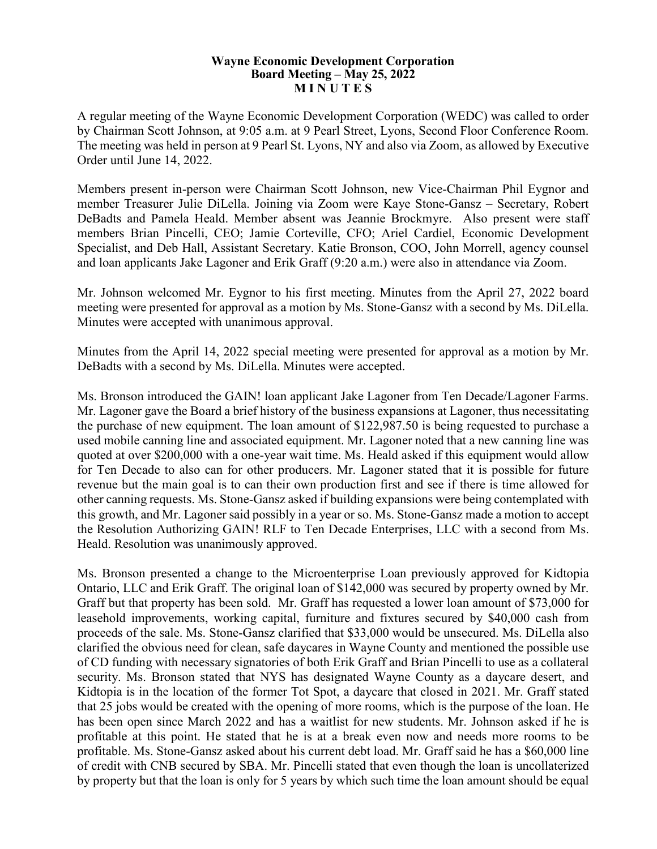## **Wayne Economic Development Corporation Board Meeting – May 25, 2022 M I N U T E S**

A regular meeting of the Wayne Economic Development Corporation (WEDC) was called to order by Chairman Scott Johnson, at 9:05 a.m. at 9 Pearl Street, Lyons, Second Floor Conference Room. The meeting was held in person at 9 Pearl St. Lyons, NY and also via Zoom, as allowed by Executive Order until June 14, 2022.

Members present in-person were Chairman Scott Johnson, new Vice-Chairman Phil Eygnor and member Treasurer Julie DiLella. Joining via Zoom were Kaye Stone-Gansz – Secretary, Robert DeBadts and Pamela Heald. Member absent was Jeannie Brockmyre. Also present were staff members Brian Pincelli, CEO; Jamie Corteville, CFO; Ariel Cardiel, Economic Development Specialist, and Deb Hall, Assistant Secretary. Katie Bronson, COO, John Morrell, agency counsel and loan applicants Jake Lagoner and Erik Graff (9:20 a.m.) were also in attendance via Zoom.

Mr. Johnson welcomed Mr. Eygnor to his first meeting. Minutes from the April 27, 2022 board meeting were presented for approval as a motion by Ms. Stone-Gansz with a second by Ms. DiLella. Minutes were accepted with unanimous approval.

Minutes from the April 14, 2022 special meeting were presented for approval as a motion by Mr. DeBadts with a second by Ms. DiLella. Minutes were accepted.

Ms. Bronson introduced the GAIN! loan applicant Jake Lagoner from Ten Decade/Lagoner Farms. Mr. Lagoner gave the Board a brief history of the business expansions at Lagoner, thus necessitating the purchase of new equipment. The loan amount of \$122,987.50 is being requested to purchase a used mobile canning line and associated equipment. Mr. Lagoner noted that a new canning line was quoted at over \$200,000 with a one-year wait time. Ms. Heald asked if this equipment would allow for Ten Decade to also can for other producers. Mr. Lagoner stated that it is possible for future revenue but the main goal is to can their own production first and see if there is time allowed for other canning requests. Ms. Stone-Gansz asked if building expansions were being contemplated with this growth, and Mr. Lagoner said possibly in a year or so. Ms. Stone-Gansz made a motion to accept the Resolution Authorizing GAIN! RLF to Ten Decade Enterprises, LLC with a second from Ms. Heald. Resolution was unanimously approved.

Ms. Bronson presented a change to the Microenterprise Loan previously approved for Kidtopia Ontario, LLC and Erik Graff. The original loan of \$142,000 was secured by property owned by Mr. Graff but that property has been sold. Mr. Graff has requested a lower loan amount of \$73,000 for leasehold improvements, working capital, furniture and fixtures secured by \$40,000 cash from proceeds of the sale. Ms. Stone-Gansz clarified that \$33,000 would be unsecured. Ms. DiLella also clarified the obvious need for clean, safe daycares in Wayne County and mentioned the possible use of CD funding with necessary signatories of both Erik Graff and Brian Pincelli to use as a collateral security. Ms. Bronson stated that NYS has designated Wayne County as a daycare desert, and Kidtopia is in the location of the former Tot Spot, a daycare that closed in 2021. Mr. Graff stated that 25 jobs would be created with the opening of more rooms, which is the purpose of the loan. He has been open since March 2022 and has a waitlist for new students. Mr. Johnson asked if he is profitable at this point. He stated that he is at a break even now and needs more rooms to be profitable. Ms. Stone-Gansz asked about his current debt load. Mr. Graff said he has a \$60,000 line of credit with CNB secured by SBA. Mr. Pincelli stated that even though the loan is uncollaterized by property but that the loan is only for 5 years by which such time the loan amount should be equal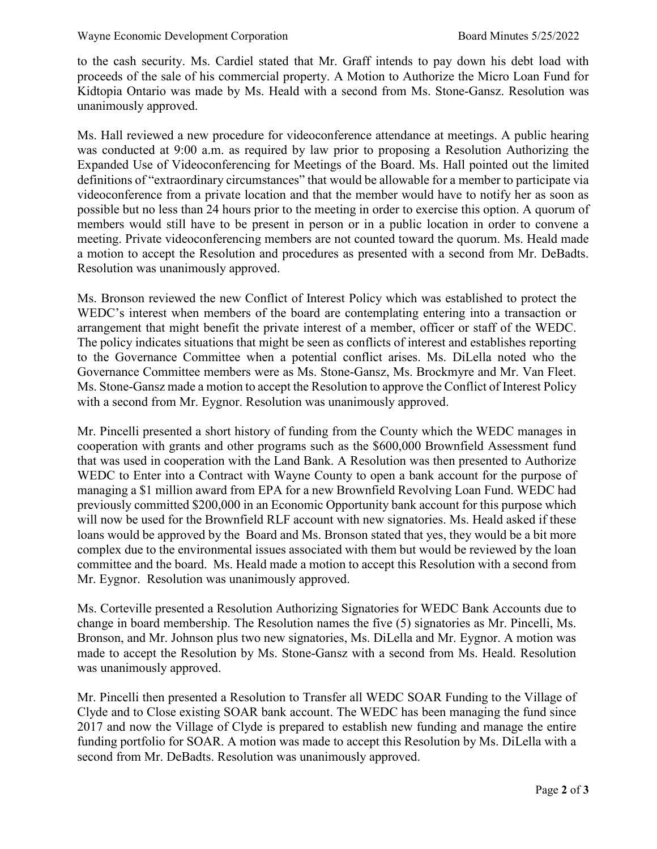to the cash security. Ms. Cardiel stated that Mr. Graff intends to pay down his debt load with proceeds of the sale of his commercial property. A Motion to Authorize the Micro Loan Fund for Kidtopia Ontario was made by Ms. Heald with a second from Ms. Stone-Gansz. Resolution was unanimously approved.

Ms. Hall reviewed a new procedure for videoconference attendance at meetings. A public hearing was conducted at 9:00 a.m. as required by law prior to proposing a Resolution Authorizing the Expanded Use of Videoconferencing for Meetings of the Board. Ms. Hall pointed out the limited definitions of "extraordinary circumstances" that would be allowable for a member to participate via videoconference from a private location and that the member would have to notify her as soon as possible but no less than 24 hours prior to the meeting in order to exercise this option. A quorum of members would still have to be present in person or in a public location in order to convene a meeting. Private videoconferencing members are not counted toward the quorum. Ms. Heald made a motion to accept the Resolution and procedures as presented with a second from Mr. DeBadts. Resolution was unanimously approved.

Ms. Bronson reviewed the new Conflict of Interest Policy which was established to protect the WEDC's interest when members of the board are contemplating entering into a transaction or arrangement that might benefit the private interest of a member, officer or staff of the WEDC. The policy indicates situations that might be seen as conflicts of interest and establishes reporting to the Governance Committee when a potential conflict arises. Ms. DiLella noted who the Governance Committee members were as Ms. Stone-Gansz, Ms. Brockmyre and Mr. Van Fleet. Ms. Stone-Gansz made a motion to accept the Resolution to approve the Conflict of Interest Policy with a second from Mr. Eygnor. Resolution was unanimously approved.

Mr. Pincelli presented a short history of funding from the County which the WEDC manages in cooperation with grants and other programs such as the \$600,000 Brownfield Assessment fund that was used in cooperation with the Land Bank. A Resolution was then presented to Authorize WEDC to Enter into a Contract with Wayne County to open a bank account for the purpose of managing a \$1 million award from EPA for a new Brownfield Revolving Loan Fund. WEDC had previously committed \$200,000 in an Economic Opportunity bank account for this purpose which will now be used for the Brownfield RLF account with new signatories. Ms. Heald asked if these loans would be approved by the Board and Ms. Bronson stated that yes, they would be a bit more complex due to the environmental issues associated with them but would be reviewed by the loan committee and the board. Ms. Heald made a motion to accept this Resolution with a second from Mr. Eygnor. Resolution was unanimously approved.

Ms. Corteville presented a Resolution Authorizing Signatories for WEDC Bank Accounts due to change in board membership. The Resolution names the five (5) signatories as Mr. Pincelli, Ms. Bronson, and Mr. Johnson plus two new signatories, Ms. DiLella and Mr. Eygnor. A motion was made to accept the Resolution by Ms. Stone-Gansz with a second from Ms. Heald. Resolution was unanimously approved.

Mr. Pincelli then presented a Resolution to Transfer all WEDC SOAR Funding to the Village of Clyde and to Close existing SOAR bank account. The WEDC has been managing the fund since 2017 and now the Village of Clyde is prepared to establish new funding and manage the entire funding portfolio for SOAR. A motion was made to accept this Resolution by Ms. DiLella with a second from Mr. DeBadts. Resolution was unanimously approved.